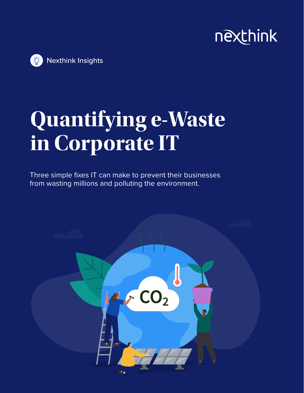# nexthink



# **Quantifying e-Waste in Corporate IT**

Three simple fixes IT can make to prevent their businesses from wasting millions and polluting the environment.

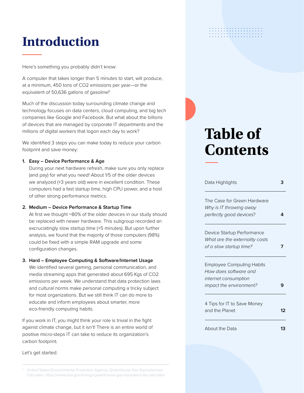## **Introduction**

Here's something you probably didn't know:

A computer that takes longer than 5 minutes to start, will produce, at a minimum, 450 tons of CO2 emissions per year—or the equivalent of 50,636 gallons of gasoline!<sup>1</sup>

Much of the discussion today surrounding climate change and technology focuses on data centers, cloud computing, and big tech companies like Google and Facebook. But what about the billions of devices that are managed by corporate IT departments and the millions of digital workers that logon each day to work?

We identified 3 steps you can make today to reduce your carbon footprint and save money:

#### **1. Easy – Device Performance & Age**

During your next hardware refresh, make sure you only replace (and pay) for what you need! About 1/5 of the older devices we analyzed (+3 years old) were in excellent condition. These computers had a fast startup time, high CPU power, and a host of other strong performance metrics.

#### **2. Medium – Device Performance & Startup Time**

At first we thought ~80% of the older devices in our study should be replaced with newer hardware. This subgroup recorded an excruciatingly slow startup time (+5 minutes). But upon further analysis, we found that the majority of those computers (98%) could be fixed with a simple RAM upgrade and some configuration changes.

#### **3. Hard – Employee Computing & Software/Internet Usage**

We identified several gaming, personal communication, and media streaming apps that generated about 695 Kgs of CO2 emissions per week. We understand that data protection laws and cultural norms make personal computing a tricky subject for most organizations. But we still think IT can do more to educate and inform employees about smarter, more eco-friendly computing habits.

If you work in IT, you might think your role is trivial in the fight against climate change, but it isn't! There is an entire world of positive micro-steps IT can take to reduce its organization's carbon footprint.

Let's get started.

1 United States Environmental Protection Agency. Greenhouse Gas Equivalencies Calculator. https://www.epa.gov/energy/greenhouse-gas-equivalencies-calculator

# 

# **Table of Contents**

| Data Highlights                  |    |  |
|----------------------------------|----|--|
| The Case for Green Hardware      |    |  |
| Why is IT throwing away          |    |  |
| perfectly good devices?          |    |  |
| Device Startup Performance       |    |  |
| What are the externality costs   |    |  |
| of a slow startup time?          |    |  |
| <b>Employee Computing Habits</b> |    |  |
| How does software and            |    |  |
| internet consumption             |    |  |
| impact the environment?          |    |  |
| 4 Tips for IT to Save Money      |    |  |
| and the Planet                   | 17 |  |
| About the Data                   | 13 |  |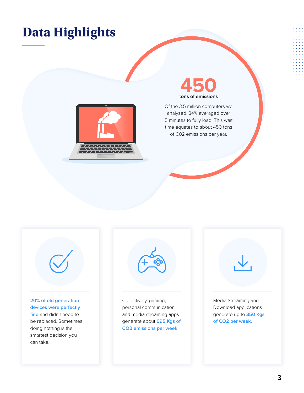## **Data Highlights**





Of the 3.5 million computers we analyzed, 34% averaged over 5 minutes to fully load. This wait time equates to about 450 tons of C02 emissions per year.



**20% of old generation devices were perfectly fine** and didn't need to be replaced. Sometimes doing nothing is the smartest decision you can take.



Collectively, gaming, personal communication, and media streaming apps generate about **695 Kgs of CO2 emissions per week**.



Download applications generate up to **350 Kgs of CO2 per week**.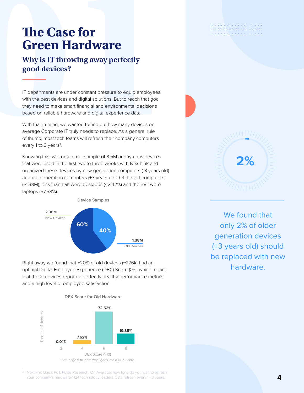# **Green Hardware**

#### **Why is IT throwing away perfectly good devices?**

**The Case for**<br> **Green Hardware**<br>
Why is IT throwing away perfectly<br>
good devices?<br>
IT departments are under constant pressure to equip employees<br>
with the best devices and digital solutions. But to reach that goal<br>
they n IT departments are under constant pressure to equip employees with the best devices and digital solutions. But to reach that goal they need to make smart financial and environmental decisions based on reliable hardware and digital experience data.

With that in mind, we wanted to find out how many devices on average Corporate IT truly needs to replace. As a general rule of thumb, most tech teams will refresh their company computers every 1 to 3 years<sup>2</sup>.

Knowing this, we took to our sample of 3.5M anonymous devices that were used in the first two to three weeks with Nexthink and organized these devices by new generation computers (-3 years old) and old generation computers (+3 years old). Of the old computers (~1.38M), less than half were desktops (42.42%) and the rest were laptops (57.58%).



Right away we found that  $\sim$ 20% of old devices ( $\sim$ 276k) had an optimal Digital Employee Experience (DEX) Score (>8), which meant that these devices reported perfectly healthy performance metrics and a high level of employee satisfaction.



. . . . . . . . . . . . . . . 



We found that only 2% of older generation devices (+3 years old) should be replaced with new hardware.

2 Nexthink Quick Poll. Pulse Research. On Average, how long do you wait to refresh your company's hardware? 124 technology leaders. 53% refresh every 1 - 3 years.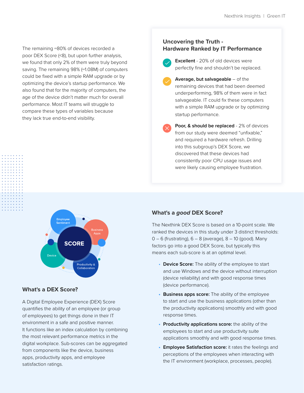The remaining ~80% of devices recorded a poor DEX Score (<8), but upon further analysis, we found that only 2% of them were truly beyond saving. The remaining 98% (~1.08M) of computers could be fixed with a simple RAM upgrade or by optimizing the device's startup performance. We also found that for the majority of computers, the age of the device didn't matter much for overall performance. Most IT teams will struggle to compare these types of variables because they lack true end-to-end visibility.

#### **Uncovering the Truth - Hardware Ranked by IT Performance**

- **Excellent** 20% of old devices were
- perfectly fine and shouldn't be replaced. **Average, but salvageable** – of the
- remaining devices that had been deemed underperforming, 98% of them were in fact salvageable. IT could fix these computers with a simple RAM upgrade or by optimizing startup performance.
- **Poor, & should be replaced 2% of devices** from our study were deemed "unfixable," and required a hardware refresh. Drilling into this subgroup's DEX Score, we discovered that these devices had consistently poor CPU usage issues and were likely causing employee frustration.



#### **What's a DEX Score?**

A Digital Employee Experience (DEX) Score quantifies the ability of an employee (or group of employees) to get things done in their IT environment in a safe and positive manner. It functions like an index calculation by combining the most relevant performance metrics in the digital workplace. Sub-scores can be aggregated from components like the device, business apps, productivity apps, and employee satisfaction ratings.

#### **What's a** *good* **DEX Score?**

The Nexthink DEX Score is based on a 10-point scale. We ranked the devices in this study under 3 distinct thresholds:  $0 - 6$  (frustrating),  $6 - 8$  (average),  $8 - 10$  (good). Many factors go into a good DEX Score, but typically this means each sub-score is at an optimal level.

- **Device Score:** The ability of the employee to start and use Windows and the device without interruption (device reliability) and with good response times (device performance).
- **• Business apps score:** The ability of the employee to start and use the business applications (other than the productivity applications) smoothly and with good response times.
- **• Productivity applications score:** the ability of the employees to start and use productivity suite applications smoothly and with good response times.
- **• Employee Satisfaction score:** it rates the feelings and perceptions of the employees when interacting with the IT environment (workplace, processes, people).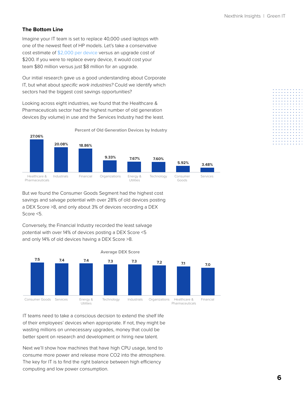#### **The Bottom Line**

Imagine your IT team is set to replace 40,000 used laptops with one of the newest fleet of HP models. Let's take a conservative cost estimate of \$2,000 per device versus an upgrade cost of \$200. If you were to replace every device, it would cost your team \$80 million versus just \$8 million for an upgrade.

Our initial research gave us a good understanding about Corporate IT, but what about *specific work industries?* Could we identify which sectors had the biggest cost savings opportunities?

Looking across eight industries, we found that the Healthcare & Pharmaceuticals sector had the highest number of old generation devices (by volume) in use and the Services Industry had the least.



But we found the Consumer Goods Segment had the highest cost savings and salvage potential with over 28% of old devices posting a DEX Score >8, and only about 3% of devices recording a DEX Score <5.

Conversely, the Financial Industry recorded the least salvage potential with over 14% of devices posting a DEX Score <5 and only 14% of old devices having a DEX Score >8.



IT teams need to take a conscious decision to extend the shelf life of their employees' devices when appropriate. If not, they might be wasting millions on unnecessary upgrades, money that could be better spent on research and development or hiring new talent.

Next we'll show how machines that have high CPU usage, tend to consume more power and release more CO2 into the atmosphere. The key for IT is to find the right balance between high efficiency computing and low power consumption.

| ۰ | ۰ | ۰ | ۰ | ۰ | ۰ | ۰ | ۰ |   | ٠ |
|---|---|---|---|---|---|---|---|---|---|
| ۰ | ۰ | ۰ | ۰ | ۰ | ۰ | ۰ | ۰ | ۰ |   |
| ۰ | ۰ | ۰ | ۰ | ۰ | ۰ | ۰ | ۰ | ۰ | ۰ |
| ۰ | ۰ | ۰ | ۰ | ۰ | ۰ | ۰ | ۰ | ۰ | ۰ |
| ä | ۰ | ۰ | ۰ | ۰ | ۰ | ۰ | ۰ | ۰ | ۰ |
| ä | ۰ | ۰ | ۰ | ۰ | ۰ | ۰ | ۰ | ۰ | ۰ |
| ۵ | ۰ | ۰ | ۰ | ۰ | ۰ | ۰ | ۰ | ۰ | ۰ |
| ۵ | ۰ | ۰ | ۰ | ۰ | ۰ | ۰ | ۰ | ۰ | ۰ |
| ۰ | ۰ | ۰ | ۰ | ۰ | ۰ | ۰ | ۰ | ۰ | ۰ |
| ۰ | ۰ | ۰ | ۰ | ۰ | ۰ | ۰ | ۰ | ۰ | ۰ |
| ۰ | ۰ | ۰ | ۰ | ۰ | ۰ | ۰ | ۰ | ۰ | ۰ |
| ۵ | ۰ | ۰ | ۰ | ۰ | ۰ | ۰ | ۰ | ۰ |   |
| ۵ | ۰ | ۰ | ۰ | ۰ | ۰ | ۰ | ۰ | ۰ | ۰ |
| ۵ | ۰ | ۰ | ۰ | ۰ | ۰ | ۰ | ۰ | ۰ | ۰ |
| ۵ | ۰ | ۰ | ۰ | ۰ | ۰ | ۰ | ۰ | ۰ | ۰ |
| ۰ | ۰ | ۰ | ۰ | ۰ | ۰ | ۰ | ۰ | ۰ | ۰ |
| ۰ | ۰ | ۰ | ۰ | ۰ | ۰ | ۰ | ۰ | ۰ |   |
| ۵ | ۰ | ۰ | ۰ | ۰ | ۰ | ۰ | ۰ | ۰ |   |
|   |   |   |   | ۰ | ۰ |   | ۰ |   |   |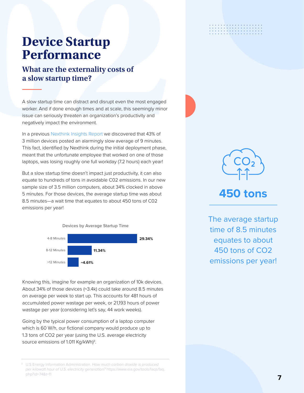# **Performance**

#### **What are the externality costs of a slow startup time?**

**Device Startup**<br> **Performance**<br>
What are the externality costs of<br>
a slow startup time?<br>
A slow startup time can distant and disrupt even the most engaged<br>
worker. And if done enough times and at scale, this seemingly min A slow startup time can distract and disrupt even the most engaged worker. And if done enough times and at scale, this seemingly minor issue can seriously threaten an organization's productivity and negatively impact the environment.

In a previous Nexthink Insights Report we discovered that 43% of 3 million devices posted an alarmingly slow average of 9 minutes. This fact, identified by Nexthink during the initial deployment phase, meant that the unfortunate employee that worked on one of those laptops, was losing roughly one full workday (7.2 hours) each year!

But a slow startup time doesn't impact just productivity, it can also equate to hundreds of tons in avoidable C02 emissions. In our new sample size of 3.5 million computers, about 34% clocked in above 5 minutes. For those devices, the average startup time was about 8.5 minutes—a wait time that equates to about 450 tons of C02 emissions per year!



Knowing this, imagine for example an organization of 10k devices. About 34% of those devices (~3.4k) could take around 8.5 minutes on average per week to start up. This accounts for 481 hours of accumulated power wastage per week, or 21,193 hours of power wastage per year (considering let's say, 44 work weeks).

Going by the typical power consumption of a laptop computer which is 60 W/h, our fictional company would produce up to 1.3 tons of CO2 per year (using the U.S. average electricity source emissions of 1.011 Kg/kWh)<sup>3</sup>.





## **450 tons**

The average startup time of 8.5 minutes equates to about 450 tons of CO2 emissions per year!

U.S Energy Information Administration. *How much carbon dioxide is produced per kilowatt hour of U.S. electricity generation?* https://www.eia.gov/tools/faqs/faq. php?id=74&t=11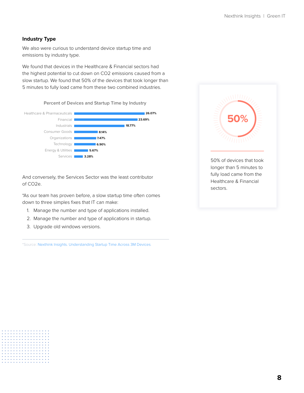#### **Industry Type**

We also were curious to understand device startup time and emissions by industry type.

We found that devices in the Healthcare & Financial sectors had the highest potential to cut down on CO2 emissions caused from a slow startup. We found that 50% of the devices that took longer than 5 minutes to fully load came from these two combined industries.

**Percent of Devices and Startup Time by Industry**



And conversely, the Services Sector was the least contributor of CO2e.

\*As our team has proven before, a slow startup time often comes down to three simples fixes that IT can make:

- 1. Manage the number and type of applications installed.
- 2. Manage the number and type of applications in startup.
- 3. Upgrade old windows versions.

\*Source: Nexthink Insights. Understanding Startup Time Across 3M Devices.

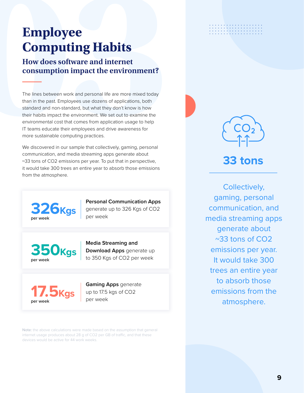# **Computing Habits**

#### **How does software and internet consumption impact the environment?**

**Employee**<br> **Computing Habits**<br> **How does software and internet**<br> **consumption impact the environment?**<br>
The lines between work and personal life are more mixed today<br>
than in the past. Employees use dozens of applications The lines between work and personal life are more mixed today than in the past. Employees use dozens of applications, both standard and non-standard, but what they don't know is how their habits impact the environment. We set out to examine the environmental cost that comes from application usage to help IT teams educate their employees and drive awareness for more sustainable computing practices.

We discovered in our sample that collectively, gaming, personal communication, and media streaming apps generate about ~33 tons of CO2 emissions per year. To put that in perspective, it would take 300 trees an entire year to absorb those emissions from the atmosphere.



**Personal Communication Apps** generate up to 326 Kgs of CO2 per week

**350Kgs**  per week

**Media Streaming and Download Apps** generate up to 350 Kgs of CO2 per week



**Gaming Apps** generate up to 17.5 kgs of CO2 per week

Note: the above calculations were made based on the assumption that general internet usage produces about 28 g of CO2 per GB of traffic, and that these devices would be active for 44 work weeks.





## **33 tons**

Collectively, gaming, personal communication, and media streaming apps generate about ~33 tons of CO2 emissions per year. It would take 300 trees an entire year to absorb those emissions from the atmosphere.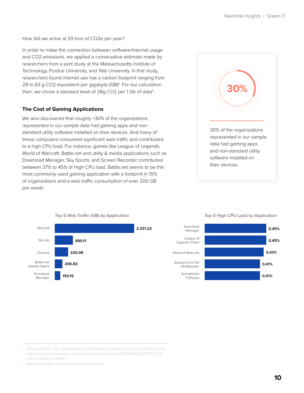How did we arrive at 33 tons of CO2e per year?

In order to make the connection between software/internet usage and CO2 emissions, we applied a conservative estimate made by researchers from a joint study at the Massachusetts Institute of Technology, Purdue University, and Yale University. In that study, researchers found internet use has a carbon footprint ranging from 28 to 63 g CO2 equivalent per gigabyte (GB)<sup>4</sup>. For our calculation then, we chose a standard level of 28g CO2 per 1 Gb of data<sup>5</sup>.

#### **The Cost of Gaming Applications**

We also discovered that roughly ~30% of the organizations represented in our sample data had gaming apps and nonstandard utility software installed on their devices. And many of these computers consumed significant web traffic and contributed to a high CPU load. For instance, games like League of Legends, World of Warcraft, Battle.net and utility & media applications such as Download Manager, Sky Sports, and Screen Recorder contributed between 37% to 45% of High CPU load. Battle.net seems to be the most commonly used gaming application with a footprint in 15% of organizations and a web traffic consumption of over 200 GB per week!



#### WeChat Download Manager Sky Go uTorrent Battle.net Update Agent **2,331.22 150.15 490.11 320.08 206.83**

**Top 5 Web Traffic (GB) by Application**

#### **Top 5 High CPU Load by Application**



#### ScienceDirect. *The overlooked environmental footprint of increasing Internet use.* https://www.sciencedirect.com/science/article/abs/pii/S0921344920307072?dgcid=author#ecom0001

<sup>5</sup> See 'About Data' section for more information.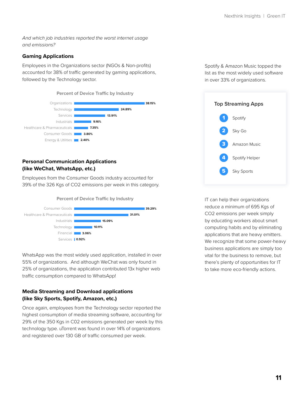*And which job industries reported the worst internet usage and emissions?*

#### **Gaming Applications**

Employees in the Organizations sector (NGOs & Non-profits) accounted for 38% of traffic generated by gaming applications, followed by the Technology sector.



#### **Personal Communication Applications (like WeChat, WhatsApp, etc.)**

Employees from the Consumer Goods industry accounted for 39% of the 326 Kgs of CO2 emissions per week in this category.

#### **Percent of Device Traffic by Industry**



WhatsApp was the most widely used application, installed in over 55% of organizations. And although WeChat was only found in 25% of organizations, the application contributed 13x higher web traffic consumption compared to WhatsApp!

#### **Media Streaming and Download applications (like Sky Sports, Spotify, Amazon, etc.)**

Once again, employees from the Technology sector reported the highest consumption of media streaming software, accounting for 29% of the 350 Kgs in C02 emissions generated per week by this technology type. uTorrent was found in over 14% of organizations and registered over 130 GB of traffic consumed per week.

Spotify & Amazon Music topped the list as the most widely used software in over 33% of organizations.



IT can help their organizations reduce a minimum of 695 Kgs of CO2 emissions per week simply by educating workers about smart computing habits and by eliminating applications that are heavy emitters. We recognize that some power-heavy business applications are simply too vital for the business to remove, but there's plenty of opportunities for IT to take more eco-friendly actions.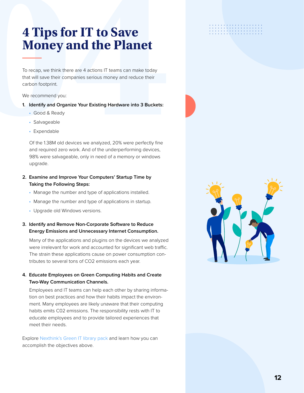# **4 Tips for IT to Save**<br> **Money and the Planet**<br>
To recap, we think there are 4 actions IT teams can make today<br>
that will save their companies serious money and reduce their<br>
carbon footprint.<br>
We recommend you:<br> **1. Iden Money and the Planet**

To recap, we think there are 4 actions IT teams can make today that will save their companies serious money and reduce their carbon footprint.

#### We recommend you:

- **1. Identify and Organize Your Existing Hardware into 3 Buckets:** 
	- Good & Ready
	- Salvageable
	- Expendable

Of the 1.38M old devices we analyzed, 20% were perfectly fine and required zero work. And of the underperforming devices, 98% were salvageable, only in need of a memory or windows upgrade.

- **2. Examine and Improve Your Computers' Startup Time by Taking the Following Steps:** 
	- Manage the number and type of applications installed.
	- Manage the number and type of applications in startup.
	- Upgrade old Windows versions.

#### **3. Identify and Remove Non-Corporate Software to Reduce Energy Emissions and Unnecessary Internet Consumption.**

Many of the applications and plugins on the devices we analyzed were irrelevant for work and accounted for significant web traffic. The strain these applications cause on power consumption contributes to several tons of CO2 emissions each year.

#### **4. Educate Employees on Green Computing Habits and Create Two-Way Communication Channels.**

Employees and IT teams can help each other by sharing information on best practices and how their habits impact the environment. Many employees are likely unaware that their computing habits emits C02 emissions. The responsibility rests with IT to educate employees and to provide tailored experiences that meet their needs.

Explore Nexthink's Green IT library pack and learn how you can accomplish the objectives above.



. . . . . . . . . . . . . . . . . .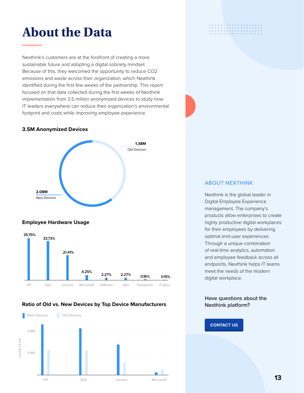## **About the Data**

Nexthink's customers are at the forefront of creating a more sustainable future and adopting a digital sobriety mindset. Because of this, they welcomed the opportunity to reduce CO2 emissions and waste across their organization, which Nexthink identified during the first few weeks of the partnership. This report focused on that data collected during the first weeks of Nexthink implementation from 3.5 million anonymized devices to study how IT leaders everywhere can reduce their organization's environmental footprint and costs while improving employee experience.

#### **3.5M Anonymized Devices**



#### **Employee Hardware Usage**



#### **Ratio of Old vs. New Devices by Top Device Manufacturers**



#### . . . . . . . . . . . . . . . .

#### ABOUT NEXTHINK

Nexthink is the global leader in Digital Employee Experience management. The company's products allow enterprises to create highly productive digital workplaces for their employees by delivering optimal end-user experiences. Through a unique combination of real-time analytics, automation and employee feedback across all endpoints, Nexthink helps IT teams meet the needs of the modern digital workplace.

#### Have questions about the Nexthink platform?